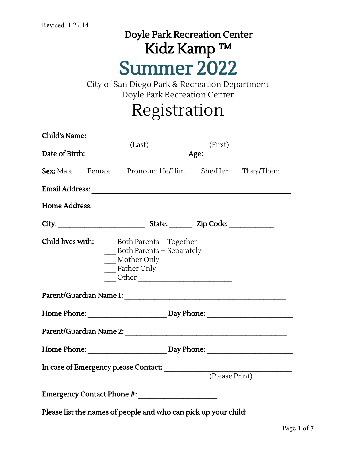## Doyle Park Recreation Center Kidz Kamp ™ Summer 2022

City of San Diego Park & Recreation Department Doyle Park Recreation Center

## Registration

| Child's Name: (Last)                                            |                                                                                    | (First)        |  |
|-----------------------------------------------------------------|------------------------------------------------------------------------------------|----------------|--|
| Sex: Male Female Pronoun: He/Him She/Her They/Them              |                                                                                    |                |  |
|                                                                 |                                                                                    |                |  |
|                                                                 |                                                                                    |                |  |
|                                                                 |                                                                                    |                |  |
| Child lives with:                                               | Both Parents – Together<br>Both Parents – Separately<br>Mother Only<br>Father Only |                |  |
|                                                                 |                                                                                    |                |  |
| Home Phone: Day Phone: Day Phone:                               |                                                                                    |                |  |
|                                                                 |                                                                                    |                |  |
| In case of Emergency please Contact:                            |                                                                                    | (Please Print) |  |
|                                                                 |                                                                                    |                |  |
| Please list the names of people and who can pick up your child: |                                                                                    |                |  |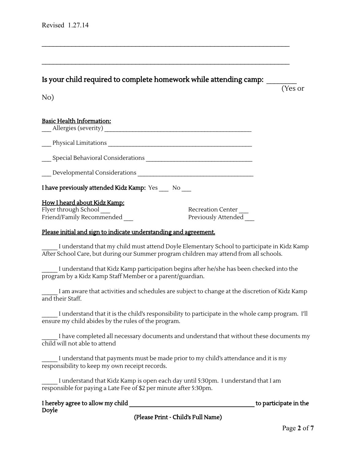Is your child required to complete homework while attending camp:

 $\mathcal{L}_\mathcal{L} = \mathcal{L}_\mathcal{L} = \mathcal{L}_\mathcal{L} = \mathcal{L}_\mathcal{L} = \mathcal{L}_\mathcal{L} = \mathcal{L}_\mathcal{L} = \mathcal{L}_\mathcal{L} = \mathcal{L}_\mathcal{L} = \mathcal{L}_\mathcal{L} = \mathcal{L}_\mathcal{L} = \mathcal{L}_\mathcal{L} = \mathcal{L}_\mathcal{L} = \mathcal{L}_\mathcal{L} = \mathcal{L}_\mathcal{L} = \mathcal{L}_\mathcal{L} = \mathcal{L}_\mathcal{L} = \mathcal{L}_\mathcal{L}$ 

 $\mathcal{L}_\mathcal{L} = \mathcal{L}_\mathcal{L} = \mathcal{L}_\mathcal{L} = \mathcal{L}_\mathcal{L} = \mathcal{L}_\mathcal{L} = \mathcal{L}_\mathcal{L} = \mathcal{L}_\mathcal{L} = \mathcal{L}_\mathcal{L} = \mathcal{L}_\mathcal{L} = \mathcal{L}_\mathcal{L} = \mathcal{L}_\mathcal{L} = \mathcal{L}_\mathcal{L} = \mathcal{L}_\mathcal{L} = \mathcal{L}_\mathcal{L} = \mathcal{L}_\mathcal{L} = \mathcal{L}_\mathcal{L} = \mathcal{L}_\mathcal{L}$ 

(Yes or

No)

#### Basic Health Information:

| Allergies (severity)                                    |
|---------------------------------------------------------|
| Physical Limitations                                    |
| Special Behavioral Considerations                       |
| Developmental Considerations                            |
| <b>I have previously attended Kidz Kamp:</b> Yes<br>No. |

#### How I heard about Kidz Kamp:

Flyer through School **Exercise School** Recreation Center Friend/Family Recommended **Example 2** Previously Attended

#### Please initial and sign to indicate understanding and agreement.

I understand that my child must attend Doyle Elementary School to participate in Kidz Kamp After School Care, but during our Summer program children may attend from all schools.

I understand that Kidz Kamp participation begins after he/she has been checked into the program by a Kidz Kamp Staff Member or a parent/guardian.

I am aware that activities and schedules are subject to change at the discretion of Kidz Kamp and their Staff.

I understand that it is the child's responsibility to participate in the whole camp program. I'll ensure my child abides by the rules of the program.

I have completed all necessary documents and understand that without these documents my child will not able to attend

I understand that payments must be made prior to my child's attendance and it is my responsibility to keep my own receipt records.

I understand that Kidz Kamp is open each day until 5:30pm. I understand that I am responsible for paying a Late Fee of \$2 per minute after 5:30pm.

| I hereby agree to allow my child |  |
|----------------------------------|--|
| Doyle                            |  |

to participate in the

(Please Print - Child's Full Name)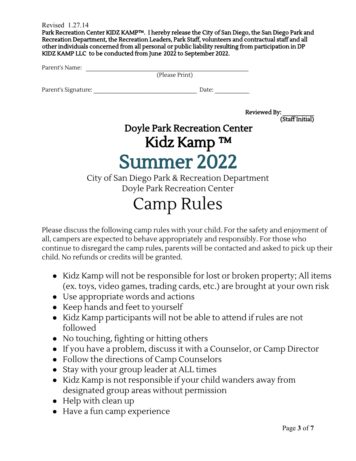Revised 1.27.14

Park Recreation Center KIDZ KAMP™. I hereby release the City of San Diego, the San Diego Park and Recreation Department, the Recreation Leaders, Park Staff, volunteers and contractual staff and all other individuals concerned from all personal or public liability resulting from participation in DP KIDZ KAMP LLC to be conducted from June 2022 to September 2022.

| Parent's Name: |                |
|----------------|----------------|
|                | (Please Print) |

Parent's Signature:  $\qquad \qquad$  Date:

Reviewed By: (Staff Initial)

### Doyle Park Recreation Center Kidz Kamp ™ Summer 2022

City of San Diego Park & Recreation Department Doyle Park Recreation Center

# Camp Rules

Please discuss the following camp rules with your child. For the safety and enjoyment of all, campers are expected to behave appropriately and responsibly. For those who continue to disregard the camp rules, parents will be contacted and asked to pick up their child. No refunds or credits will be granted.

- Kidz Kamp will not be responsible for lost or broken property; All items (ex. toys, video games, trading cards, etc.) are brought at your own risk
- Use appropriate words and actions
- Keep hands and feet to yourself
- Kidz Kamp participants will not be able to attend if rules are not followed
- No touching, fighting or hitting others
- If you have a problem, discuss it with a Counselor, or Camp Director
- Follow the directions of Camp Counselors
- Stay with your group leader at ALL times
- Kidz Kamp is not responsible if your child wanders away from designated group areas without permission
- Help with clean up
- Have a fun camp experience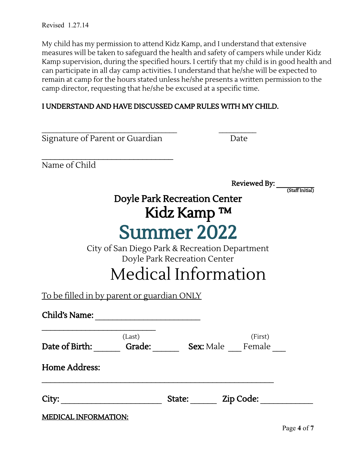My child has my permission to attend Kidz Kamp, and I understand that extensive measures will be taken to safeguard the health and safety of campers while under Kidz Kamp supervision, during the specified hours. I certify that my child is in good health and can participate in all day camp activities. I understand that he/she will be expected to remain at camp for the hours stated unless he/she presents a written permission to the camp director, requesting that he/she be excused at a specific time.

#### I UNDERSTAND AND HAVE DISCUSSED CAMP RULES WITH MY CHILD.

| Signature of Parent or Guardian                   | Date                                           |
|---------------------------------------------------|------------------------------------------------|
| Name of Child                                     |                                                |
|                                                   | Reviewed By: (Staff Initial)                   |
|                                                   | <b>Doyle Park Recreation Center</b>            |
|                                                   | Kidz Kamp ™                                    |
|                                                   | <b>Summer 2022</b>                             |
|                                                   | City of San Diego Park & Recreation Department |
|                                                   | Doyle Park Recreation Center                   |
|                                                   | Medical Information                            |
| <u>To be filled in by parent or guardian ONLY</u> |                                                |
|                                                   |                                                |
| (Last)                                            | (First)                                        |
|                                                   | Date of Birth: Grade: Sex: Male Female         |
| <b>Home Address:</b>                              |                                                |
| City:                                             | State: Zip Code:                               |
| <b>MEDICAL INFORMATION:</b>                       |                                                |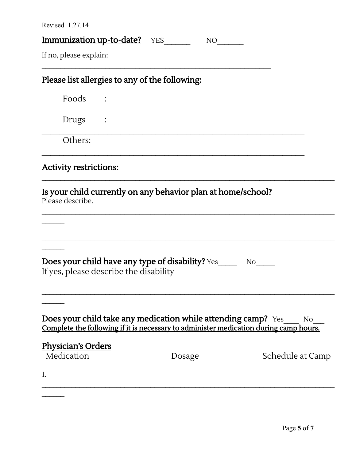$\mathcal{L}=\mathcal{L}$ 

| <b>Immunization up-to-date?</b> YES<br>NO <sub>1</sub><br>Please list allergies to any of the following:<br>Foods :<br>Drugs :<br>Others:<br>Is your child currently on any behavior plan at home/school?<br>Does your child have any type of disability? Yes_____<br>$No$ <sub>___</sub><br>If yes, please describe the disability<br><b>Does your child take any medication while attending camp?</b> Yes<br>No.<br>Complete the following if it is necessary to administer medication during camp hours.<br><u>Physician's Orders</u><br>Medication<br>Schedule at Camp<br>Dosage | Revised $1.27.14$             |  |
|--------------------------------------------------------------------------------------------------------------------------------------------------------------------------------------------------------------------------------------------------------------------------------------------------------------------------------------------------------------------------------------------------------------------------------------------------------------------------------------------------------------------------------------------------------------------------------------|-------------------------------|--|
|                                                                                                                                                                                                                                                                                                                                                                                                                                                                                                                                                                                      |                               |  |
|                                                                                                                                                                                                                                                                                                                                                                                                                                                                                                                                                                                      | If no, please explain:        |  |
|                                                                                                                                                                                                                                                                                                                                                                                                                                                                                                                                                                                      |                               |  |
|                                                                                                                                                                                                                                                                                                                                                                                                                                                                                                                                                                                      |                               |  |
|                                                                                                                                                                                                                                                                                                                                                                                                                                                                                                                                                                                      |                               |  |
|                                                                                                                                                                                                                                                                                                                                                                                                                                                                                                                                                                                      |                               |  |
|                                                                                                                                                                                                                                                                                                                                                                                                                                                                                                                                                                                      | <b>Activity restrictions:</b> |  |
|                                                                                                                                                                                                                                                                                                                                                                                                                                                                                                                                                                                      | Please describe.              |  |
|                                                                                                                                                                                                                                                                                                                                                                                                                                                                                                                                                                                      |                               |  |
|                                                                                                                                                                                                                                                                                                                                                                                                                                                                                                                                                                                      |                               |  |
|                                                                                                                                                                                                                                                                                                                                                                                                                                                                                                                                                                                      |                               |  |
|                                                                                                                                                                                                                                                                                                                                                                                                                                                                                                                                                                                      | 1.                            |  |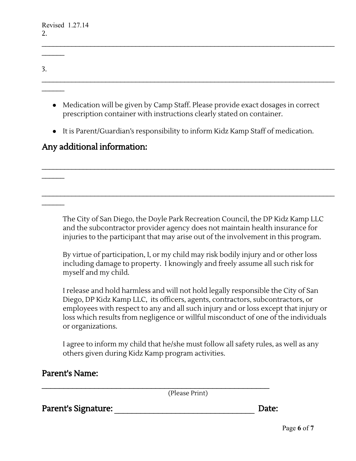$\mathcal{L}=\mathcal{L}$ 

 $\mathcal{L}_\text{max}$ 

 $\mathcal{L}_\text{max}$ 

| ⌒<br>. ر |  |  |  |
|----------|--|--|--|
|          |  |  |  |

 $\mathcal{L}_\mathcal{L} = \mathcal{L}_\mathcal{L} = \mathcal{L}_\mathcal{L} = \mathcal{L}_\mathcal{L} = \mathcal{L}_\mathcal{L} = \mathcal{L}_\mathcal{L} = \mathcal{L}_\mathcal{L} = \mathcal{L}_\mathcal{L} = \mathcal{L}_\mathcal{L} = \mathcal{L}_\mathcal{L} = \mathcal{L}_\mathcal{L} = \mathcal{L}_\mathcal{L} = \mathcal{L}_\mathcal{L} = \mathcal{L}_\mathcal{L} = \mathcal{L}_\mathcal{L} = \mathcal{L}_\mathcal{L} = \mathcal{L}_\mathcal{L}$ 

- Medication will be given by Camp Staff. Please provide exact dosages in correct prescription container with instructions clearly stated on container.
- It is Parent/Guardian's responsibility to inform Kidz Kamp Staff of medication.

 $\mathcal{L}_\mathcal{L} = \{ \mathcal{L}_\mathcal{L} = \{ \mathcal{L}_\mathcal{L} = \{ \mathcal{L}_\mathcal{L} = \{ \mathcal{L}_\mathcal{L} = \{ \mathcal{L}_\mathcal{L} = \{ \mathcal{L}_\mathcal{L} = \{ \mathcal{L}_\mathcal{L} = \{ \mathcal{L}_\mathcal{L} = \{ \mathcal{L}_\mathcal{L} = \{ \mathcal{L}_\mathcal{L} = \{ \mathcal{L}_\mathcal{L} = \{ \mathcal{L}_\mathcal{L} = \{ \mathcal{L}_\mathcal{L} = \{ \mathcal{L}_\mathcal{$ 

 $\mathcal{L}_\mathcal{L} = \{ \mathcal{L}_\mathcal{L} = \{ \mathcal{L}_\mathcal{L} = \{ \mathcal{L}_\mathcal{L} = \{ \mathcal{L}_\mathcal{L} = \{ \mathcal{L}_\mathcal{L} = \{ \mathcal{L}_\mathcal{L} = \{ \mathcal{L}_\mathcal{L} = \{ \mathcal{L}_\mathcal{L} = \{ \mathcal{L}_\mathcal{L} = \{ \mathcal{L}_\mathcal{L} = \{ \mathcal{L}_\mathcal{L} = \{ \mathcal{L}_\mathcal{L} = \{ \mathcal{L}_\mathcal{L} = \{ \mathcal{L}_\mathcal{$ 

### Any additional information:

The City of San Diego, the Doyle Park Recreation Council, the DP Kidz Kamp LLC and the subcontractor provider agency does not maintain health insurance for injuries to the participant that may arise out of the involvement in this program.

By virtue of participation, I, or my child may risk bodily injury and or other loss including damage to property. I knowingly and freely assume all such risk for myself and my child.

I release and hold harmless and will not hold legally responsible the City of San Diego, DP Kidz Kamp LLC, its officers, agents, contractors, subcontractors, or employees with respect to any and all such injury and or loss except that injury or loss which results from negligence or willful misconduct of one of the individuals or organizations.

I agree to inform my child that he/she must follow all safety rules, as well as any others given during Kidz Kamp program activities.

(Please Print)

Parent's Signature: \_\_\_\_\_\_\_\_\_\_\_\_\_\_\_\_\_\_\_\_\_\_\_\_\_\_\_\_\_\_\_\_ Date: